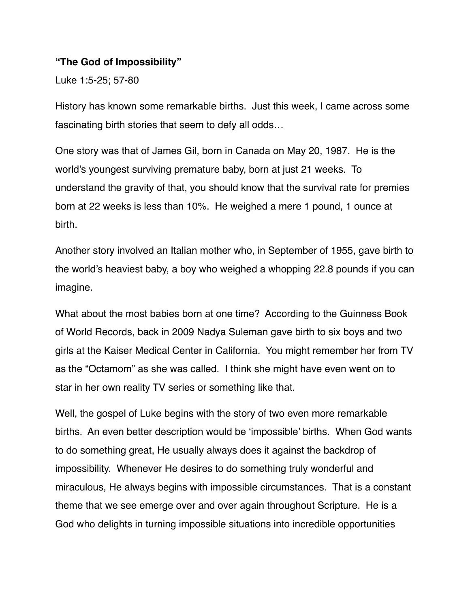#### **"The God of Impossibility"**

Luke 1:5-25; 57-80

History has known some remarkable births. Just this week, I came across some fascinating birth stories that seem to defy all odds…

One story was that of James Gil, born in Canada on May 20, 1987. He is the world's youngest surviving premature baby, born at just 21 weeks. To understand the gravity of that, you should know that the survival rate for premies born at 22 weeks is less than 10%. He weighed a mere 1 pound, 1 ounce at birth.

Another story involved an Italian mother who, in September of 1955, gave birth to the world's heaviest baby, a boy who weighed a whopping 22.8 pounds if you can imagine.

What about the most babies born at one time? According to the Guinness Book of World Records, back in 2009 Nadya Suleman gave birth to six boys and two girls at the Kaiser Medical Center in California. You might remember her from TV as the "Octamom" as she was called. I think she might have even went on to star in her own reality TV series or something like that.

Well, the gospel of Luke begins with the story of two even more remarkable births. An even better description would be 'impossible' births. When God wants to do something great, He usually always does it against the backdrop of impossibility. Whenever He desires to do something truly wonderful and miraculous, He always begins with impossible circumstances. That is a constant theme that we see emerge over and over again throughout Scripture. He is a God who delights in turning impossible situations into incredible opportunities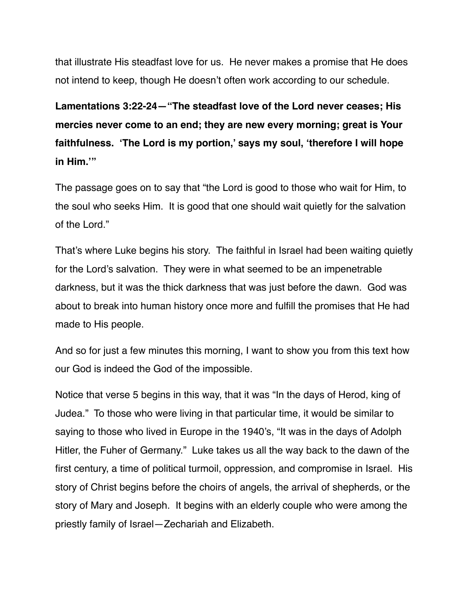that illustrate His steadfast love for us. He never makes a promise that He does not intend to keep, though He doesn't often work according to our schedule.

**Lamentations 3:22-24—"The steadfast love of the Lord never ceases; His mercies never come to an end; they are new every morning; great is Your faithfulness. 'The Lord is my portion,' says my soul, 'therefore I will hope in Him.'"**

The passage goes on to say that "the Lord is good to those who wait for Him, to the soul who seeks Him. It is good that one should wait quietly for the salvation of the Lord."

That's where Luke begins his story. The faithful in Israel had been waiting quietly for the Lord's salvation. They were in what seemed to be an impenetrable darkness, but it was the thick darkness that was just before the dawn. God was about to break into human history once more and fulfill the promises that He had made to His people.

And so for just a few minutes this morning, I want to show you from this text how our God is indeed the God of the impossible.

Notice that verse 5 begins in this way, that it was "In the days of Herod, king of Judea." To those who were living in that particular time, it would be similar to saying to those who lived in Europe in the 1940's, "It was in the days of Adolph Hitler, the Fuher of Germany." Luke takes us all the way back to the dawn of the first century, a time of political turmoil, oppression, and compromise in Israel. His story of Christ begins before the choirs of angels, the arrival of shepherds, or the story of Mary and Joseph. It begins with an elderly couple who were among the priestly family of Israel—Zechariah and Elizabeth.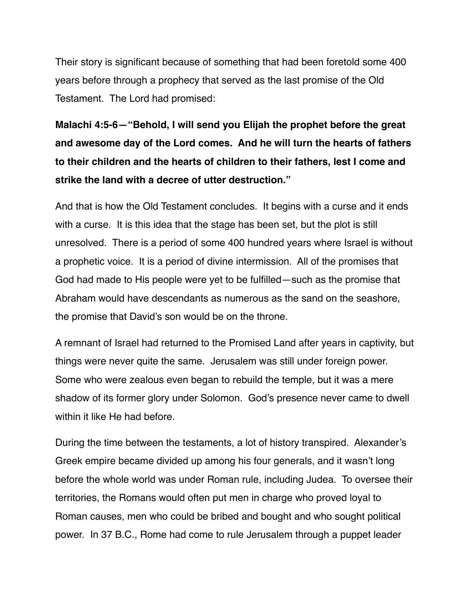Their story is significant because of something that had been foretold some 400 years before through a prophecy that served as the last promise of the Old Testament. The Lord had promised:

**Malachi 4:5-6—"Behold, I will send you Elijah the prophet before the great and awesome day of the Lord comes. And he will turn the hearts of fathers to their children and the hearts of children to their fathers, lest I come and strike the land with a decree of utter destruction."**

And that is how the Old Testament concludes. It begins with a curse and it ends with a curse. It is this idea that the stage has been set, but the plot is still unresolved. There is a period of some 400 hundred years where Israel is without a prophetic voice. It is a period of divine intermission. All of the promises that God had made to His people were yet to be fulfilled—such as the promise that Abraham would have descendants as numerous as the sand on the seashore, the promise that David's son would be on the throne.

A remnant of Israel had returned to the Promised Land after years in captivity, but things were never quite the same. Jerusalem was still under foreign power. Some who were zealous even began to rebuild the temple, but it was a mere shadow of its former glory under Solomon. God's presence never came to dwell within it like He had before.

During the time between the testaments, a lot of history transpired. Alexander's Greek empire became divided up among his four generals, and it wasn't long before the whole world was under Roman rule, including Judea. To oversee their territories, the Romans would often put men in charge who proved loyal to Roman causes, men who could be bribed and bought and who sought political power. In 37 B.C., Rome had come to rule Jerusalem through a puppet leader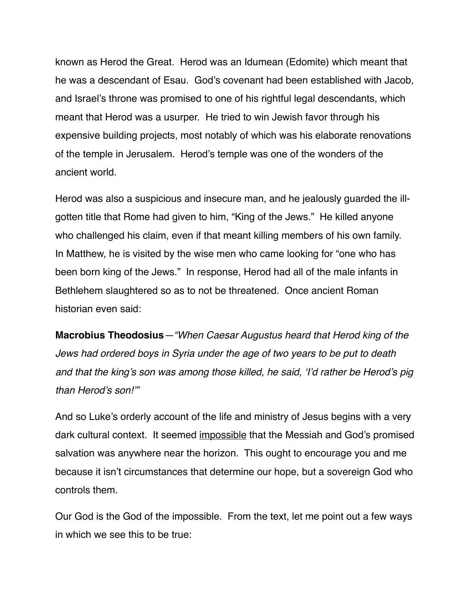known as Herod the Great. Herod was an Idumean (Edomite) which meant that he was a descendant of Esau. God's covenant had been established with Jacob, and Israel's throne was promised to one of his rightful legal descendants, which meant that Herod was a usurper. He tried to win Jewish favor through his expensive building projects, most notably of which was his elaborate renovations of the temple in Jerusalem. Herod's temple was one of the wonders of the ancient world.

Herod was also a suspicious and insecure man, and he jealously guarded the illgotten title that Rome had given to him, "King of the Jews." He killed anyone who challenged his claim, even if that meant killing members of his own family. In Matthew, he is visited by the wise men who came looking for "one who has been born king of the Jews." In response, Herod had all of the male infants in Bethlehem slaughtered so as to not be threatened. Once ancient Roman historian even said:

**Macrobius Theodosius***—"When Caesar Augustus heard that Herod king of the Jews had ordered boys in Syria under the age of two years to be put to death and that the king's son was among those killed, he said, 'I'd rather be Herod's pig than Herod's son!'"*

And so Luke's orderly account of the life and ministry of Jesus begins with a very dark cultural context. It seemed impossible that the Messiah and God's promised salvation was anywhere near the horizon. This ought to encourage you and me because it isn't circumstances that determine our hope, but a sovereign God who controls them.

Our God is the God of the impossible. From the text, let me point out a few ways in which we see this to be true: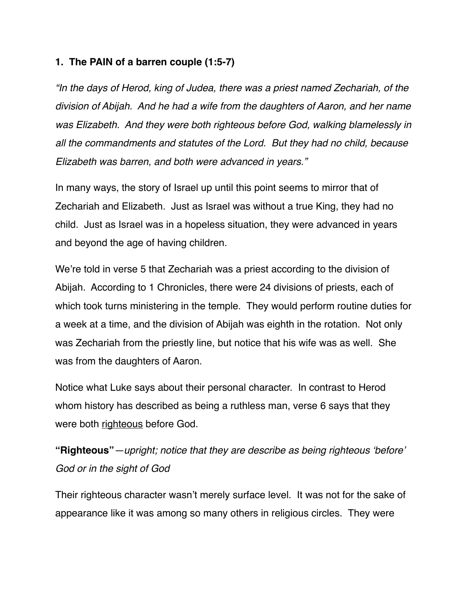#### **1. The PAIN of a barren couple (1:5-7)**

*"In the days of Herod, king of Judea, there was a priest named Zechariah, of the division of Abijah. And he had a wife from the daughters of Aaron, and her name was Elizabeth. And they were both righteous before God, walking blamelessly in all the commandments and statutes of the Lord. But they had no child, because Elizabeth was barren, and both were advanced in years."*

In many ways, the story of Israel up until this point seems to mirror that of Zechariah and Elizabeth. Just as Israel was without a true King, they had no child. Just as Israel was in a hopeless situation, they were advanced in years and beyond the age of having children.

We're told in verse 5 that Zechariah was a priest according to the division of Abijah. According to 1 Chronicles, there were 24 divisions of priests, each of which took turns ministering in the temple. They would perform routine duties for a week at a time, and the division of Abijah was eighth in the rotation. Not only was Zechariah from the priestly line, but notice that his wife was as well. She was from the daughters of Aaron.

Notice what Luke says about their personal character. In contrast to Herod whom history has described as being a ruthless man, verse 6 says that they were both righteous before God.

**"Righteous"***—upright; notice that they are describe as being righteous 'before' God or in the sight of God* 

Their righteous character wasn't merely surface level. It was not for the sake of appearance like it was among so many others in religious circles. They were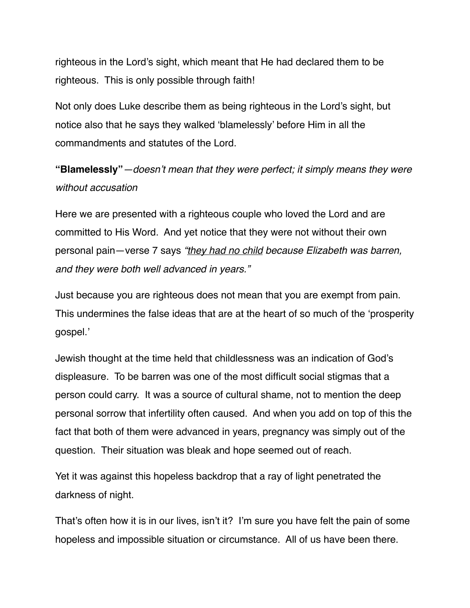righteous in the Lord's sight, which meant that He had declared them to be righteous. This is only possible through faith!

Not only does Luke describe them as being righteous in the Lord's sight, but notice also that he says they walked 'blamelessly' before Him in all the commandments and statutes of the Lord.

**"Blamelessly"***—doesn't mean that they were perfect; it simply means they were without accusation*

Here we are presented with a righteous couple who loved the Lord and are committed to His Word. And yet notice that they were not without their own personal pain—verse 7 says *"they had no child because Elizabeth was barren, and they were both well advanced in years."*

Just because you are righteous does not mean that you are exempt from pain. This undermines the false ideas that are at the heart of so much of the 'prosperity gospel.'

Jewish thought at the time held that childlessness was an indication of God's displeasure. To be barren was one of the most difficult social stigmas that a person could carry. It was a source of cultural shame, not to mention the deep personal sorrow that infertility often caused. And when you add on top of this the fact that both of them were advanced in years, pregnancy was simply out of the question. Their situation was bleak and hope seemed out of reach.

Yet it was against this hopeless backdrop that a ray of light penetrated the darkness of night.

That's often how it is in our lives, isn't it? I'm sure you have felt the pain of some hopeless and impossible situation or circumstance. All of us have been there.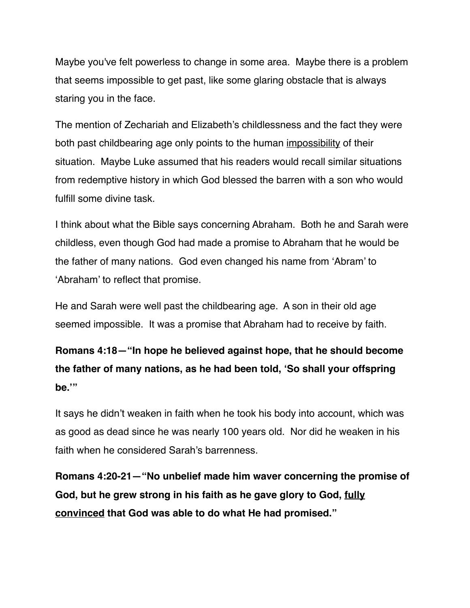Maybe you've felt powerless to change in some area. Maybe there is a problem that seems impossible to get past, like some glaring obstacle that is always staring you in the face.

The mention of Zechariah and Elizabeth's childlessness and the fact they were both past childbearing age only points to the human impossibility of their situation. Maybe Luke assumed that his readers would recall similar situations from redemptive history in which God blessed the barren with a son who would fulfill some divine task.

I think about what the Bible says concerning Abraham. Both he and Sarah were childless, even though God had made a promise to Abraham that he would be the father of many nations. God even changed his name from 'Abram' to 'Abraham' to reflect that promise.

He and Sarah were well past the childbearing age. A son in their old age seemed impossible. It was a promise that Abraham had to receive by faith.

**Romans 4:18—"In hope he believed against hope, that he should become the father of many nations, as he had been told, 'So shall your offspring be.'"**

It says he didn't weaken in faith when he took his body into account, which was as good as dead since he was nearly 100 years old. Nor did he weaken in his faith when he considered Sarah's barrenness.

**Romans 4:20-21—"No unbelief made him waver concerning the promise of God, but he grew strong in his faith as he gave glory to God, fully convinced that God was able to do what He had promised."**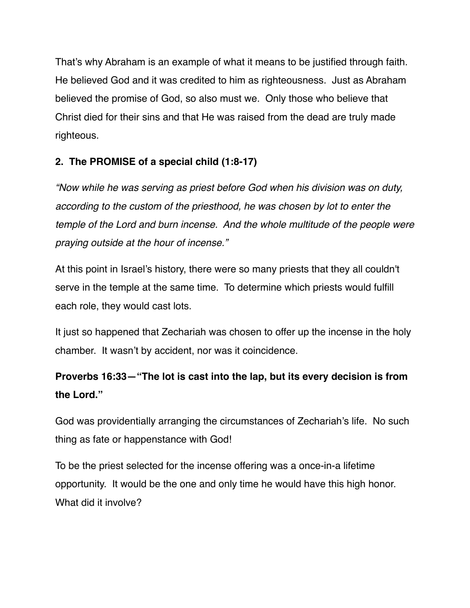That's why Abraham is an example of what it means to be justified through faith. He believed God and it was credited to him as righteousness. Just as Abraham believed the promise of God, so also must we. Only those who believe that Christ died for their sins and that He was raised from the dead are truly made righteous.

### **2. The PROMISE of a special child (1:8-17)**

*"Now while he was serving as priest before God when his division was on duty, according to the custom of the priesthood, he was chosen by lot to enter the temple of the Lord and burn incense. And the whole multitude of the people were praying outside at the hour of incense."*

At this point in Israel's history, there were so many priests that they all couldn't serve in the temple at the same time. To determine which priests would fulfill each role, they would cast lots.

It just so happened that Zechariah was chosen to offer up the incense in the holy chamber. It wasn't by accident, nor was it coincidence.

# **Proverbs 16:33—"The lot is cast into the lap, but its every decision is from the Lord."**

God was providentially arranging the circumstances of Zechariah's life. No such thing as fate or happenstance with God!

To be the priest selected for the incense offering was a once-in-a lifetime opportunity. It would be the one and only time he would have this high honor. What did it involve?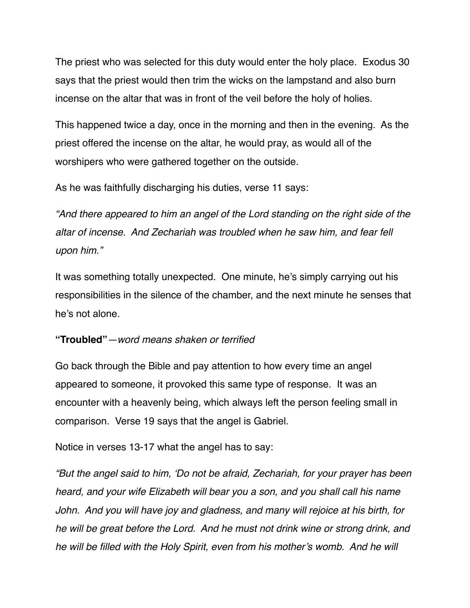The priest who was selected for this duty would enter the holy place. Exodus 30 says that the priest would then trim the wicks on the lampstand and also burn incense on the altar that was in front of the veil before the holy of holies.

This happened twice a day, once in the morning and then in the evening. As the priest offered the incense on the altar, he would pray, as would all of the worshipers who were gathered together on the outside.

As he was faithfully discharging his duties, verse 11 says:

*"And there appeared to him an angel of the Lord standing on the right side of the altar of incense. And Zechariah was troubled when he saw him, and fear fell upon him."* 

It was something totally unexpected. One minute, he's simply carrying out his responsibilities in the silence of the chamber, and the next minute he senses that he's not alone.

#### **"Troubled"***—word means shaken or terrified*

Go back through the Bible and pay attention to how every time an angel appeared to someone, it provoked this same type of response. It was an encounter with a heavenly being, which always left the person feeling small in comparison. Verse 19 says that the angel is Gabriel.

Notice in verses 13-17 what the angel has to say:

*"But the angel said to him, 'Do not be afraid, Zechariah, for your prayer has been heard, and your wife Elizabeth will bear you a son, and you shall call his name John. And you will have joy and gladness, and many will rejoice at his birth, for he will be great before the Lord. And he must not drink wine or strong drink, and he will be filled with the Holy Spirit, even from his mother's womb. And he will*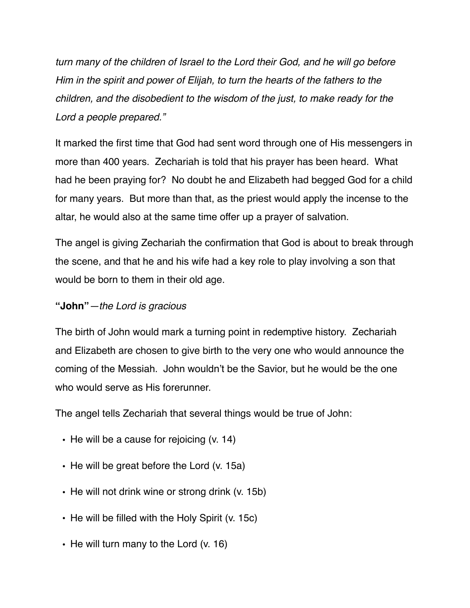*turn many of the children of Israel to the Lord their God, and he will go before Him in the spirit and power of Elijah, to turn the hearts of the fathers to the children, and the disobedient to the wisdom of the just, to make ready for the Lord a people prepared."*

It marked the first time that God had sent word through one of His messengers in more than 400 years. Zechariah is told that his prayer has been heard. What had he been praying for? No doubt he and Elizabeth had begged God for a child for many years. But more than that, as the priest would apply the incense to the altar, he would also at the same time offer up a prayer of salvation.

The angel is giving Zechariah the confirmation that God is about to break through the scene, and that he and his wife had a key role to play involving a son that would be born to them in their old age.

#### **"John"***—the Lord is gracious*

The birth of John would mark a turning point in redemptive history. Zechariah and Elizabeth are chosen to give birth to the very one who would announce the coming of the Messiah. John wouldn't be the Savior, but he would be the one who would serve as His forerunner.

The angel tells Zechariah that several things would be true of John:

- **•** He will be a cause for rejoicing (v. 14)
- **•** He will be great before the Lord (v. 15a)
- **•** He will not drink wine or strong drink (v. 15b)
- **•** He will be filled with the Holy Spirit (v. 15c)
- **•** He will turn many to the Lord (v. 16)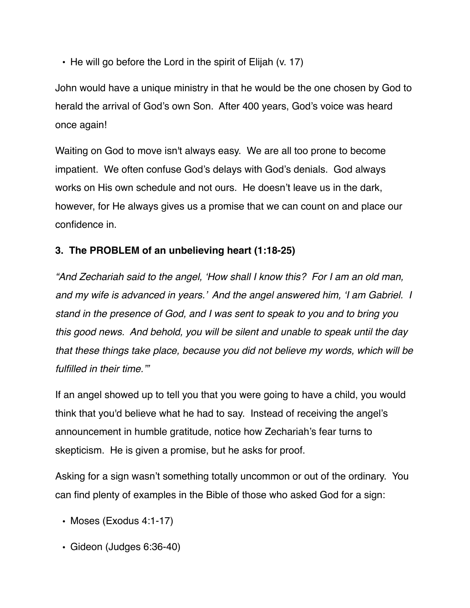**•** He will go before the Lord in the spirit of Elijah (v. 17)

John would have a unique ministry in that he would be the one chosen by God to herald the arrival of God's own Son. After 400 years, God's voice was heard once again!

Waiting on God to move isn't always easy. We are all too prone to become impatient. We often confuse God's delays with God's denials. God always works on His own schedule and not ours. He doesn't leave us in the dark, however, for He always gives us a promise that we can count on and place our confidence in.

### **3. The PROBLEM of an unbelieving heart (1:18-25)**

*"And Zechariah said to the angel, 'How shall I know this? For I am an old man, and my wife is advanced in years.' And the angel answered him, 'I am Gabriel. I stand in the presence of God, and I was sent to speak to you and to bring you this good news. And behold, you will be silent and unable to speak until the day that these things take place, because you did not believe my words, which will be fulfilled in their time.'"*

If an angel showed up to tell you that you were going to have a child, you would think that you'd believe what he had to say. Instead of receiving the angel's announcement in humble gratitude, notice how Zechariah's fear turns to skepticism. He is given a promise, but he asks for proof.

Asking for a sign wasn't something totally uncommon or out of the ordinary. You can find plenty of examples in the Bible of those who asked God for a sign:

- Moses (Exodus 4:1-17)
- Gideon (Judges 6:36-40)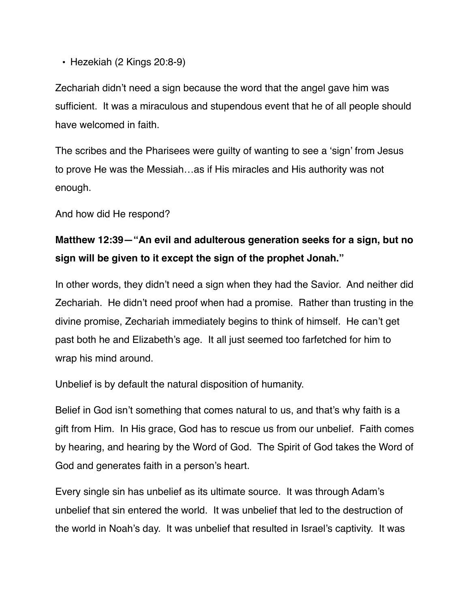• Hezekiah (2 Kings 20:8-9)

Zechariah didn't need a sign because the word that the angel gave him was sufficient. It was a miraculous and stupendous event that he of all people should have welcomed in faith.

The scribes and the Pharisees were guilty of wanting to see a 'sign' from Jesus to prove He was the Messiah…as if His miracles and His authority was not enough.

And how did He respond?

## **Matthew 12:39—"An evil and adulterous generation seeks for a sign, but no sign will be given to it except the sign of the prophet Jonah."**

In other words, they didn't need a sign when they had the Savior. And neither did Zechariah. He didn't need proof when had a promise. Rather than trusting in the divine promise, Zechariah immediately begins to think of himself. He can't get past both he and Elizabeth's age. It all just seemed too farfetched for him to wrap his mind around.

Unbelief is by default the natural disposition of humanity.

Belief in God isn't something that comes natural to us, and that's why faith is a gift from Him. In His grace, God has to rescue us from our unbelief. Faith comes by hearing, and hearing by the Word of God. The Spirit of God takes the Word of God and generates faith in a person's heart.

Every single sin has unbelief as its ultimate source. It was through Adam's unbelief that sin entered the world. It was unbelief that led to the destruction of the world in Noah's day. It was unbelief that resulted in Israel's captivity. It was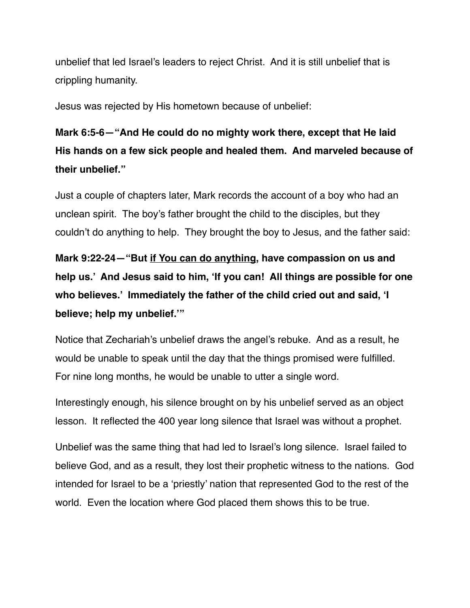unbelief that led Israel's leaders to reject Christ. And it is still unbelief that is crippling humanity.

Jesus was rejected by His hometown because of unbelief:

# **Mark 6:5-6—"And He could do no mighty work there, except that He laid His hands on a few sick people and healed them. And marveled because of their unbelief."**

Just a couple of chapters later, Mark records the account of a boy who had an unclean spirit. The boy's father brought the child to the disciples, but they couldn't do anything to help. They brought the boy to Jesus, and the father said:

**Mark 9:22-24—"But if You can do anything, have compassion on us and help us.' And Jesus said to him, 'If you can! All things are possible for one who believes.' Immediately the father of the child cried out and said, 'I believe; help my unbelief.'"**

Notice that Zechariah's unbelief draws the angel's rebuke. And as a result, he would be unable to speak until the day that the things promised were fulfilled. For nine long months, he would be unable to utter a single word.

Interestingly enough, his silence brought on by his unbelief served as an object lesson. It reflected the 400 year long silence that Israel was without a prophet.

Unbelief was the same thing that had led to Israel's long silence. Israel failed to believe God, and as a result, they lost their prophetic witness to the nations. God intended for Israel to be a 'priestly' nation that represented God to the rest of the world. Even the location where God placed them shows this to be true.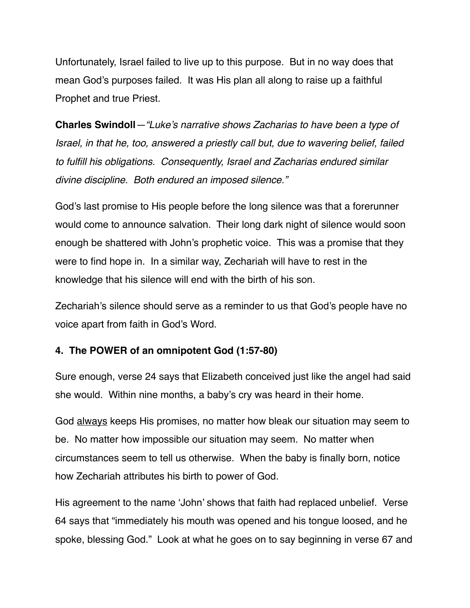Unfortunately, Israel failed to live up to this purpose. But in no way does that mean God's purposes failed. It was His plan all along to raise up a faithful Prophet and true Priest.

**Charles Swindoll***—"Luke's narrative shows Zacharias to have been a type of Israel, in that he, too, answered a priestly call but, due to wavering belief, failed to fulfill his obligations. Consequently, Israel and Zacharias endured similar divine discipline. Both endured an imposed silence."* 

God's last promise to His people before the long silence was that a forerunner would come to announce salvation. Their long dark night of silence would soon enough be shattered with John's prophetic voice. This was a promise that they were to find hope in. In a similar way, Zechariah will have to rest in the knowledge that his silence will end with the birth of his son.

Zechariah's silence should serve as a reminder to us that God's people have no voice apart from faith in God's Word.

#### **4. The POWER of an omnipotent God (1:57-80)**

Sure enough, verse 24 says that Elizabeth conceived just like the angel had said she would. Within nine months, a baby's cry was heard in their home.

God always keeps His promises, no matter how bleak our situation may seem to be. No matter how impossible our situation may seem. No matter when circumstances seem to tell us otherwise. When the baby is finally born, notice how Zechariah attributes his birth to power of God.

His agreement to the name 'John' shows that faith had replaced unbelief. Verse 64 says that "immediately his mouth was opened and his tongue loosed, and he spoke, blessing God." Look at what he goes on to say beginning in verse 67 and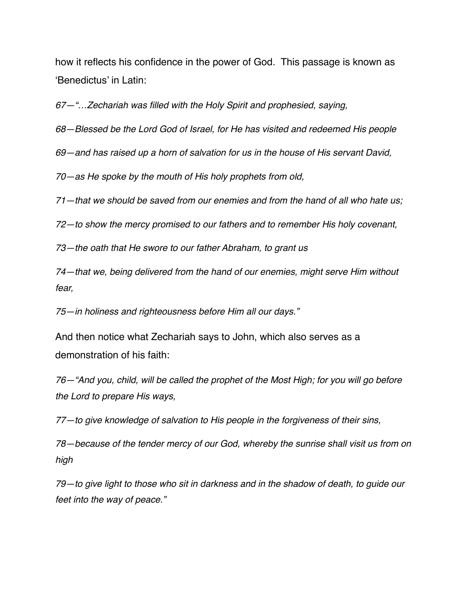how it reflects his confidence in the power of God. This passage is known as 'Benedictus' in Latin:

*67—"…Zechariah was filled with the Holy Spirit and prophesied, saying,* 

*68—Blessed be the Lord God of Israel, for He has visited and redeemed His people*

*69—and has raised up a horn of salvation for us in the house of His servant David,*

*70—as He spoke by the mouth of His holy prophets from old,*

*71—that we should be saved from our enemies and from the hand of all who hate us;*

*72—to show the mercy promised to our fathers and to remember His holy covenant,*

*73—the oath that He swore to our father Abraham, to grant us*

*74—that we, being delivered from the hand of our enemies, might serve Him without fear,*

*75—in holiness and righteousness before Him all our days."*

And then notice what Zechariah says to John, which also serves as a demonstration of his faith:

*76—"And you, child, will be called the prophet of the Most High; for you will go before the Lord to prepare His ways,*

*77—to give knowledge of salvation to His people in the forgiveness of their sins,*

*78—because of the tender mercy of our God, whereby the sunrise shall visit us from on high*

*79—to give light to those who sit in darkness and in the shadow of death, to guide our feet into the way of peace."*